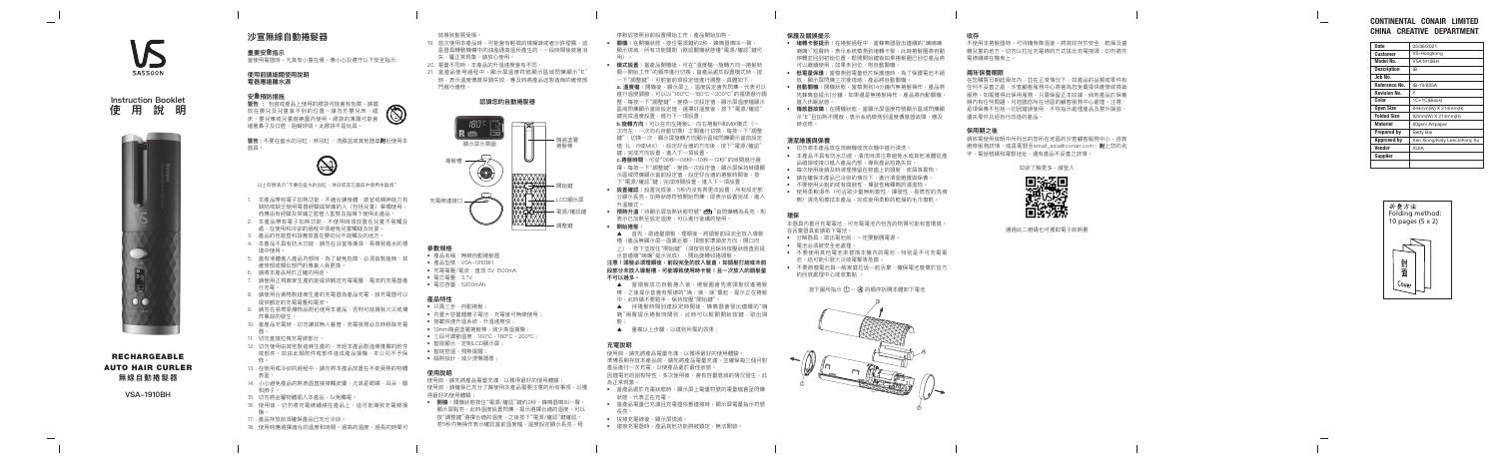SASSOON

 $\overline{\phantom{a}}$ 

# **沙宣無線自動捲髮器**

**重要安 全指示** 當使用電器時,尤其有小童在場,應小心及遵守以下安全指示:

**警告 :** 包裝或產品上使用的膠袋可能會有危險,請擺 放在嬰兒及兒童拿不到的位置。請勿於嬰兒床、睡 床、嬰兒車或兒童遊樂園內使用。膠袋的薄層可能會 堵著鼻子及口腔,阻礙呼吸。此膠袋不是玩具。



# **使用前請細閱使用說明 電器應遠離水源**

# **安全預防措施**

**警告 :** 不要在盛水的浴缸 、淋浴缸 、洗臉盆或其他器皿**附**近使用本 器具。



- 1. 本產品帶有電子加熱功能,不適合讓身體、感官或精神能力有 缺陷或缺乏使用電器經驗與常識的人(包括兒童)單獨使用, 而應由有經驗及常識之監管人監察及指導下使用此產品。
- 2. 本產品帶有電子加熱功能,不使用時須放置在兒童不易觸及 處,在使用和冷卻的過程中須避免兒童觸碰及玩耍。
- 3. 產品的包裝塑料袋應放置在嬰幼兒不能觸及的地方。
- 4. 本產品不具有防水功能,請勿在浴室等潮濕、易導致進水的環 境中使用。
- 5. 當有液體進入產品內部時,為了避免危險,必須由製造商、其 維修部或類似部門的專業人員更換。
- 6. 請將本產品用於正確的用途。
- 7. 請使用正規廠家生產的能提供額定充電電壓、電流的充電器進 行充電。
- 8. 請使用合資格製造商生產的充電器為產品充電,該充電器可以 提供額定的充電電壓和電流。
- 9. 請勿在易燃易爆物品附近使用本產品,否則可能導致火災或爆 炸事故的發生。
- 10. 當產品充電時,切勿讓其無人看管,充電後務必及時移除充電 器。
- 11. 切勿直接拉拽充電線部分。
- 12. 切勿使用由其他製造商生產的,未經本產品製造商推薦的附件 或部件。如由此類附件或部件造成產品損傷,本公司不予保 修。
- 13. 在使用或冷卻的過程中,請勿將本產品放置在不能受熱的物體 表面。
- 14. 小心避免產品的熱表面直接接觸皮膚,尤其是眼睛、耳朵、臉 和脖子。
- 15. 切勿將金屬物體插入本產品,以免觸電。
- 16. 使用後,切勿將充電線纏繞在產品上,這可能導致充電線損 傷。
- 17. 產品存放前須確保產品已充分冷卻。
- 18. 使用時應選擇適合的溫度和時間。過高的溫度,過長的時間可

以上符號表示"不要在盛水的浴缸、淋浴或其它器皿中使用本器具"

- 19. 首次使用本產品時,可能會有輕微的燒糊味或者少許煙霧,這 是器具轉動機構中的油脂遇高溫所產生的,一段時間後就會消 失,屬正常現象,請放心使用。
- 20. 電量不同時,本產品的升溫速度會有不同。
- 21. 當產品使用過程中,顯示屏溫度符號顯示區域閃爍顯示"E" 時,表示溫度傳感探頭失效,應及時將產品送製造商的維修部 門進行維修。

使用前,請先將產品電量充滿,以獲得最好的使用體驗 使用前,請確保已充分了解使用本產品需要注意的所有事項,以獲 得最好的使用體驗;

**● 開機:**關機狀態按住"電源/確認"鍵約2秒,蜂鳴器鳴叫一聲 顯示屏點亮,此時溫度設置閃爍,提示選擇合適的溫度,可以 按"調整鍵"選擇合適的溫度,之後按下"電源/確認"鍵確認。 若5秒內無操作表示確認當前溫度檔,溫度設定顯示長亮,程

能導致髮質受損。

# **認識您的自動捲髮器**



### **參數規格**

- 產品名稱:無線自動捲髮器
- 產品型號:VSA-1910BH
- 充電電壓/電流:直流 5V 1500mA
- 電芯電壓:3.7V
- 電芯容量:5200mAh

### **產品特性**

- 只需三步,自動捲髮
- 內置大容量鋰離子電池,充電後可無線使用;
- 搭載快速升溫系統,升溫速度快
- 19mm陶瓷塗層捲髮棒,減少高溫損傷
- 三段可調節溫度:160℃,180℃,200℃
	-
- 智能控溫,預熱提醒
- 隔熱設計,減少燙傷隱患

• 智能顯示,定制LCD顯示屏;

### **使用說明**

- 使用前,請先將產品電量充滿,以獲得最好的使用體驗 準備長期存放本產品前,請先將產品電量充滿,並確保每三個月對 產品進行一次充電,以使產品處於最佳狀態。 因鋰電池的固有特性,多次使用後,會有容量衰減的情況發生,此
- 為正常現象。 • 當產品處於充電狀態時,顯示屏上電量符號的電量檔會呈閃爍
- 狀態,代表正在充電。
- 當產品電量已充滿且充電器依舊連接時,顯示屏電量指示符號 長亮。
- 拔掉充電線後,顯示屏熄滅。
- 連接充電器時,產品其他功能將被鎖定,無法開啟。

序默認按照目前設置開始工作,產品開始加熱。

- **關機:**在開機狀熊,按住電源鍵約2秒,蜂鳴器鳴叫一聲, 顯示熄滅,所有功能關閉(默認關機狀態僅"電源/確認"鍵可 用)。
- **模式設置:**當產品開機後,可在"溫度檔—旋轉方向—捲髮時 間—開始工作"的順序進行切換;當產品處於設置模式時,按 一下"調整鍵",可對當前項設定值進行調整,具體如下
- a. 溫度檔: 開機後, 顯示屏上, 溫度設定會先閃爍, 代表可以 進行溫度調節,可以以"160ºC—180ºC—200ºC"的循環進行調 整,每按一下"調整鍵",變換一次設定值,顯示屏溫度檔顯示 區域閃爍顯示當前設定值,選擇好溫度後,按下"雷源/確認" 鍵完成溫度設置,進行下一項設置;
- **b.旋轉方向:**可以在向左捲髮L、向右捲髮R和MIX模式(一 次向左,一次向右自動切換)之間進行切換,每按一下"調整 鍵",切換一次,顯示屏旋轉方向顯示區域閃爍顯示當前設定 值(L、R或MIX),設定好合適的方向後,按下"電源/確認" 鍵;完成方向設置,進入下一項設置
- **c.捲髮時間:**可從"06秒—08秒—10秒—12秒"的時間進行選 擇,每按一下"調整鍵",變換一次設定值,顯示屏保持時間顯 示區域閃爍顯示當前設定值,設定好合適的捲髮時間後,按 下"電源/確認"鍵;完成時間設置,進入下一項設置;
- **設置確認:**設置完成後,5秒內沒有再更改設置,所有設定部 分顯示長亮,加熱狀態符號開始閃爍,即表示設置完成,進入 升溫模式。
- **預熱升溫:**待顯示屏加熱狀態符號" **世 "**由閃爍轉為長亮,則 表示已加熱至設定溫度,可以進行後續的使用。 • **開始捲髮:**
- ▲ 首先,取適量頭髮,理順後,將頭髮前段完全放入導髮
- 槽(產品無顯示屏一面靠近臉,頂部對準頭皮方向,開口向 上),按下並按住"開始鍵"(須按到底且保持按壓狀態直到提 示音連續"嘀嘀"提示完成),開始旋轉收捲頭髮
- **注意!頭髮必須理順後,前段完全的放入髮倉,如頭髮打結或未前 段部分未放入導髮槽,可能導致使用時卡髮!且一次放入的頭髮量 不可以過多。**
- ▲ 當頭髮成功自動捲入後,捲髮圈會先將頭髮收進捲髮 棒,之後提示音會有規律的"滴,滴,滴"響起,提示正在捲髮 中,此時請不要鬆手,保持按壓"開始鍵"。
- ▲ 待捲髮時間到達設定時間後,蜂鳴器會發出連續的"嘀 嘀"兩聲提示捲髮時間到,此時可以鬆開開始按鍵,取出頭
- ▲ 重複以上步驟,以達到所需的效果

不使用本捲髮器時,可待機身降溫後,將其收存於安全、乾燥及遠 離兒童的地方。切勿以拉扯充電線的方式拔出充電接頭;切勿將充 電線纏繞在機身上。

# **充電說明**

# **保護及錯誤提示**

- **堵轉卡髮提示:**在捲髮過程中,當蜂鳴器發出連續的"嘀嘀嘀 嘀嘀~"短聲時,表示系統檢測到堵轉卡髮,此時捲髮圈將自動 停轉並回到初始位置,鬆開開始鍵後如果捲髮圈已回位產品將 可以繼續使用;如果未回位,則自動關機。
- **低電量保護:**當檢測到電量低於保護值時,為了保護電池不過 放,顯示屏閃爍三次後熄滅,產品將自動關機。
- **自動關機:**開機狀態,當檢測到14分鐘內無捲髮操作,產品將 先蜂鳴音提示1分鐘,如果還是無捲髮操作,產品將自動關機, 進入休眠狀態。
- **傳感器故障:**在開機狀態,當顯示屏溫度符號顯示區域閃爍顯 示"E"且加熱不開啟,表示系統檢測到溫度傳感器故障,應及 時送修。

# **清潔維護與保養**

- 切勿將本產品放在洗碗機或洗衣機中進行清洗。
- 本產品不具有防水功能,清洗時須注意避免水或其他液體從產 品縫隙或接口進入產品內部,導致產品短路失效。
- 每次使用後請及時清理殘留在梳齒上的頭髮、皮屑等異物。
- 請在確保本產品已冷卻的情況下,進行清潔維護與保養,
- 不要使用尖銳的或有腐蝕性、揮發性稀釋劑的清潔物。
- 使用柔軟濕布(可沾取少量無刺激性、揮發性、易燃性的洗滌 劑)清洗和擦拭本產品,完成後用柔軟的乾燥的毛巾擦乾。

# **環保**

本器具內置可充電電池,可充電電池內包含的物質可能有害環境。 在丟棄器具前請取下電池。

- 分解器具,取出電池前,一定要斷開電源。
- 電池必須被安全地處理。
- 不要使用其他電池來替換本機內的電池,特別是不可充電電 池,這可能引發火災或電擊等危險。
- 不要將廢電池與一般家庭垃圾一起丟棄,確保電池廢棄於官方 的回收處理中心或收集點 。

按下圖所指示 ① 一 ④ 的順序拆開本體卸下電池



# **收存**

# **兩年保養期限**

在您購買日期起兩年內,並在正常情況下,如產品的品質或零件有 任何不妥善之處,沙宣顧客服務中心將會為您免費提供維修或換貨 服務。如需獲得此保用服務,只需保留正本收據,倘若產品於保養 期內有任何問題,可蒞臨您所在地區的顧客服務中心處理。注意 是項保養不包括一切因錯誤使用、不依指示處理產品及意外損毀、 遺失零件及經自行改造的產品。

# **保用期之後**

請致電使用說明中所列出的您所在地區的沙宣顧客服務中心,咨詢 維修服務詳情,或是電郵至email\_asia@conair.com,**附**上您的名 字,電話號碼和電郵地址,還有產品不妥善之詳情。

如欲了解更多,請登入



通過此二維碼也可獲取電子說明書

| <b>Date</b>         | 05/06/2021                   |
|---------------------|------------------------------|
| Customer            | VS-Hongkong                  |
| Model No.           | <b>VSA1910BH</b>             |
| <b>Description</b>  | IB                           |
| Job No.             |                              |
| Reference No.       | IB-19/605A                   |
| <b>Revision No.</b> | 2                            |
| Color               | 1C+1C(Black)                 |
| <b>Open Size</b>    | 644mm(W) X 214mm(H)          |
| <b>Folded Size</b>  | 92mm(W) X 214mm(H)           |
| <b>Material</b>     | 80gsm Artpaper               |
| <b>Prepared by</b>  | Betty Bai                    |
| <b>Approved by</b>  | Ken Xiong/Katy Lee/Johnny Xu |
| Vendor              | <b>AILIX</b>                 |
| <b>Supplier</b>     |                              |
|                     |                              |

# CONTINENTAL CONAIR LIMITED CHINA CREATIVE DEPARTMENT



RECHARGEABLE AUTO HAIR CURLER **無線自動捲髮器**

**VSA-1910BH**